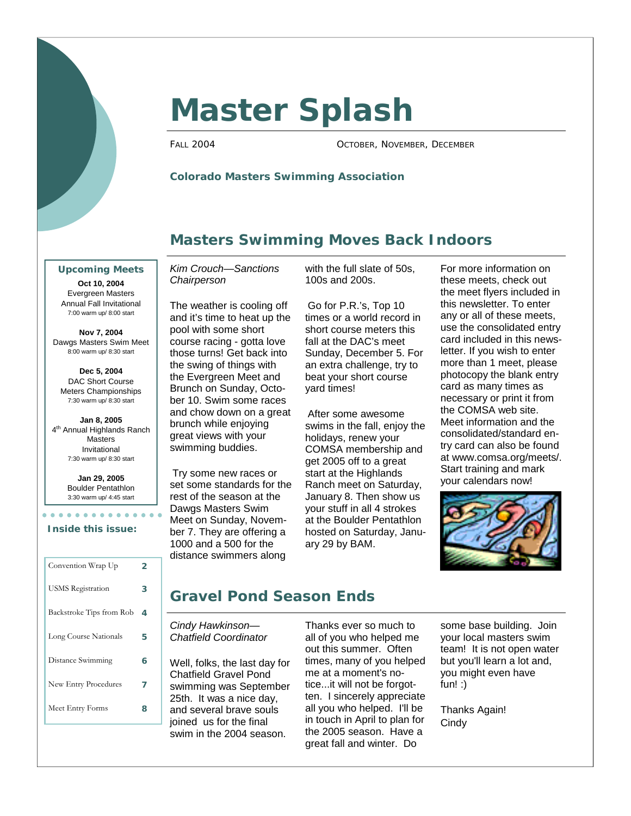

# **Master Splash**

FALL 2004 OCTOBER, NOVEMBER, DECEMBER

#### **Colorado Masters Swimming Association**

#### **Masters Swimming Moves Back Indoors**

**Upcoming Meets**

**Oct 10, 2004**  Evergreen Masters Annual Fall Invitational 7:00 warm up/ 8:00 start

**Nov 7, 2004**  Dawgs Masters Swim Meet 8:00 warm up/ 8:30 start

**Dec 5, 2004**  DAC Short Course Meters Championships 7:30 warm up/ 8:30 start

**Jan 8, 2005**  4<sup>th</sup> Annual Highlands Ranch **Masters** Invitational 7:30 warm up/ 8:30 start

> **Jan 29, 2005**  Boulder Pentathlon 3:30 warm up/ 4:45 start

**\*\*\*\*\*\*\*\*\*\*\*** 

#### **Inside this issue:**

| Convention Wrap Up       | 2 |
|--------------------------|---|
| <b>USMS</b> Registration | з |
| Backstroke Tips from Rob | 4 |
| Long Course Nationals    | 5 |
| Distance Swimming        | 6 |
| New Entry Procedures     | 7 |
| Meet Entry Forms         | я |

*Kim Crouch—Sanctions Chairperson* 

The weather is cooling off and it's time to heat up the pool with some short course racing - gotta love those turns! Get back into the swing of things with the Evergreen Meet and Brunch on Sunday, October 10. Swim some races and chow down on a great brunch while enjoying great views with your swimming buddies.

Try some new races or set some standards for the rest of the season at the Dawgs Masters Swim Meet on Sunday, November 7. They are offering a 1000 and a 500 for the distance swimmers along

with the full slate of 50s, 100s and 200s.

Go for P.R.'s, Top 10 times or a world record in short course meters this fall at the DAC's meet Sunday, December 5. For an extra challenge, try to beat your short course yard times!

After some awesome swims in the fall, enjoy the holidays, renew your COMSA membership and get 2005 off to a great start at the Highlands Ranch meet on Saturday, January 8. Then show us your stuff in all 4 strokes at the Boulder Pentathlon hosted on Saturday, January 29 by BAM.

For more information on these meets, check out the meet flyers included in this newsletter. To enter any or all of these meets, use the consolidated entry card included in this newsletter. If you wish to enter more than 1 meet, please photocopy the blank entry card as many times as necessary or print it from the COMSA web site. Meet information and the consolidated/standard entry card can also be found at www.comsa.org/meets/. Start training and mark your calendars now!



# **Gravel Pond Season Ends**

*Cindy Hawkinson— Chatfield Coordinator* 

Well, folks, the last day for Chatfield Gravel Pond swimming was September 25th. It was a nice day, and several brave souls joined us for the final swim in the 2004 season.

Thanks ever so much to all of you who helped me out this summer. Often times, many of you helped me at a moment's notice...it will not be forgotten. I sincerely appreciate all you who helped. I'll be in touch in April to plan for the 2005 season. Have a great fall and winter. Do

some base building. Join your local masters swim team! It is not open water but you'll learn a lot and, you might even have fun! :)

Thanks Again! **Cindy**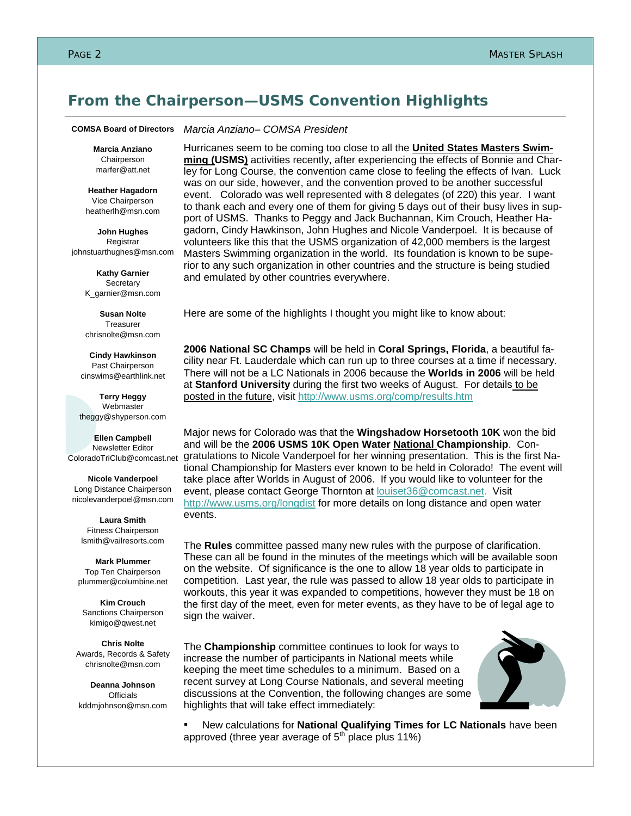#### **From the Chairperson—USMS Convention Highlights**

#### *Marcia Anziano– COMSA President*  **COMSA Board of Directors**

**Marcia Anziano Chairperson** marfer@att.net

**Heather Hagadorn**  Vice Chairperson heatherlh@msn.com

**John Hughes**  Registrar johnstuarthughes@msn.com

> **Kathy Garnier Secretary** K\_garnier@msn.com

> **Susan Nolte**  Treasurer chrisnolte@msn.com

**Cindy Hawkinson**  Past Chairperson cinswims@earthlink.net

**Terry Heggy**  Webmaster theggy@shyperson.com

**Ellen Campbell**  Newsletter Editor ColoradoTriClub@comcast.net

**Nicole Vanderpoel**  Long Distance Chairperson nicolevanderpoel@msn.com

**Laura Smith**  Fitness Chairperson lsmith@vailresorts.com

**Mark Plummer**  Top Ten Chairperson plummer@columbine.net

**Kim Crouch**  Sanctions Chairperson kimigo@qwest.net

**Chris Nolte**  Awards, Records & Safety chrisnolte@msn.com

**Deanna Johnson Officials** kddmjohnson@msn.com Hurricanes seem to be coming too close to all the **United States Masters Swimming (USMS)** activities recently, after experiencing the effects of Bonnie and Charley for Long Course, the convention came close to feeling the effects of Ivan. Luck was on our side, however, and the convention proved to be another successful event. Colorado was well represented with 8 delegates (of 220) this year. I want to thank each and every one of them for giving 5 days out of their busy lives in support of USMS. Thanks to Peggy and Jack Buchannan, Kim Crouch, Heather Hagadorn, Cindy Hawkinson, John Hughes and Nicole Vanderpoel. It is because of volunteers like this that the USMS organization of 42,000 members is the largest Masters Swimming organization in the world. Its foundation is known to be superior to any such organization in other countries and the structure is being studied and emulated by other countries everywhere.

Here are some of the highlights I thought you might like to know about:

**2006 National SC Champs** will be held in **Coral Springs, Florida**, a beautiful facility near Ft. Lauderdale which can run up to three courses at a time if necessary. There will not be a LC Nationals in 2006 because the **Worlds in 2006** will be held at **Stanford University** during the first two weeks of August. For details to be posted in the future, visit http://www.usms.org/comp/results.htm

Major news for Colorado was that the **Wingshadow Horsetooth 10K** won the bid and will be the **2006 USMS 10K Open Water National Championship**. Congratulations to Nicole Vanderpoel for her winning presentation. This is the first National Championship for Masters ever known to be held in Colorado! The event will take place after Worlds in August of 2006. If you would like to volunteer for the event, please contact George Thornton at **louiset36@comcast.net**. Visit http://www.usms.org/longdist for more details on long distance and open water events.

The **Rules** committee passed many new rules with the purpose of clarification. These can all be found in the minutes of the meetings which will be available soon on the website. Of significance is the one to allow 18 year olds to participate in competition. Last year, the rule was passed to allow 18 year olds to participate in workouts, this year it was expanded to competitions, however they must be 18 on the first day of the meet, even for meter events, as they have to be of legal age to sign the waiver.

The **Championship** committee continues to look for ways to increase the number of participants in National meets while keeping the meet time schedules to a minimum. Based on a recent survey at Long Course Nationals, and several meeting discussions at the Convention, the following changes are some highlights that will take effect immediately:



New calculations for National Qualifying Times for LC Nationals have been approved (three year average of  $5<sup>th</sup>$  place plus 11%)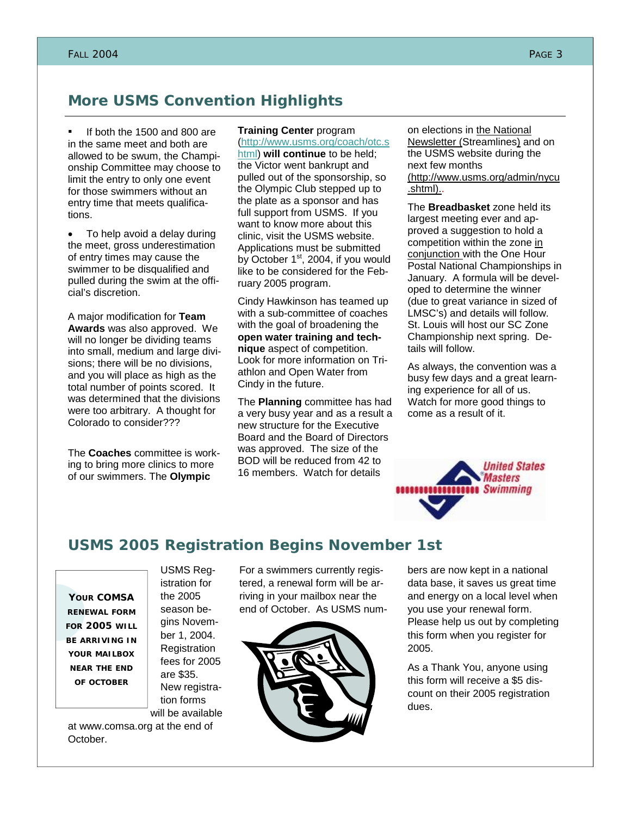# **More USMS Convention Highlights**

If both the 1500 and 800 are in the same meet and both are allowed to be swum, the Championship Committee may choose to limit the entry to only one event for those swimmers without an entry time that meets qualifications.

• To help avoid a delay during the meet, gross underestimation of entry times may cause the swimmer to be disqualified and pulled during the swim at the official's discretion.

A major modification for **Team Awards** was also approved. We will no longer be dividing teams into small, medium and large divisions; there will be no divisions, and you will place as high as the total number of points scored. It was determined that the divisions were too arbitrary. A thought for Colorado to consider???

The **Coaches** committee is working to bring more clinics to more of our swimmers. The **Olympic** 

#### **Training Center** program (http://www.usms.org/coach/otc.s

html) **will continue** to be held; the Victor went bankrupt and pulled out of the sponsorship, so the Olympic Club stepped up to the plate as a sponsor and has full support from USMS. If you want to know more about this clinic, visit the USMS website. Applications must be submitted by October  $1<sup>st</sup>$ , 2004, if you would like to be considered for the February 2005 program.

Cindy Hawkinson has teamed up with a sub-committee of coaches with the goal of broadening the **open water training and technique** aspect of competition. Look for more information on Triathlon and Open Water from Cindy in the future.

The **Planning** committee has had a very busy year and as a result a new structure for the Executive Board and the Board of Directors was approved. The size of the BOD will be reduced from 42 to 16 members. Watch for details

on elections in the National **Newsletter (Streamlines) and on** the USMS website during the next few months (http://www.usms.org/admin/nycu .shtml)..

The **Breadbasket** zone held its largest meeting ever and approved a suggestion to hold a competition within the zone in conjunction with the One Hour Postal National Championships in January. A formula will be developed to determine the winner (due to great variance in sized of LMSC's) and details will follow. St. Louis will host our SC Zone Championship next spring. Details will follow.

As always, the convention was a busy few days and a great learning experience for all of us. Watch for more good things to come as a result of it.



# **USMS 2005 Registration Begins November 1st**

**YOUR COMSA RENEWAL FORM FOR 2005 WILL BE ARRIVING IN YOUR MAILBOX NEAR THE END OF OCTOBER**

USMS Registration for the 2005 season begins November 1, 2004. **Registration** fees for 2005 are \$35. New registration forms will be available

at www.comsa.org at the end of October.

For a swimmers currently registered, a renewal form will be arriving in your mailbox near the end of October. As USMS num-



bers are now kept in a national data base, it saves us great time and energy on a local level when you use your renewal form. Please help us out by completing this form when you register for 2005.

As a Thank You, anyone using this form will receive a \$5 discount on their 2005 registration dues.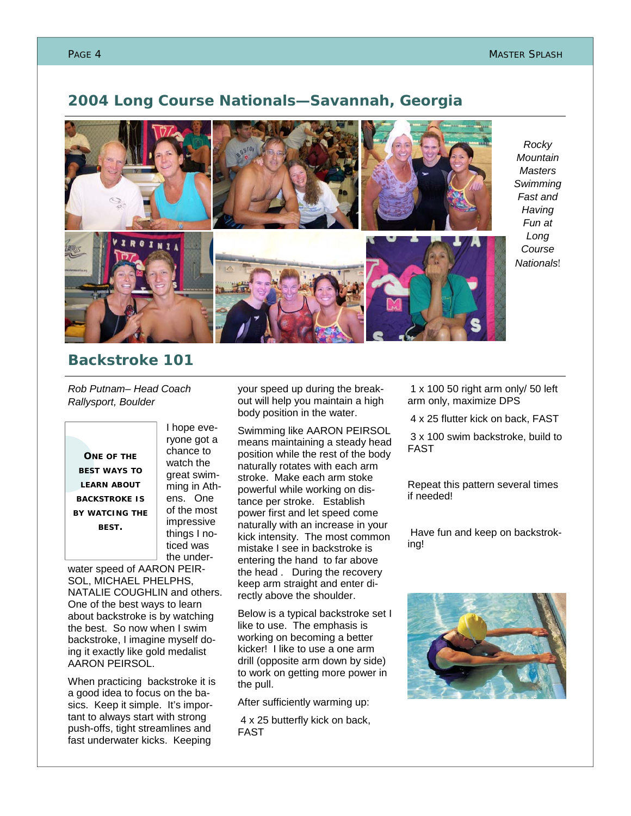#### **2004 Long Course Nationals—Savannah, Georgia**



*Rocky Mountain Masters Swimming Fast and Having Fun at Long Course Nationals*!

#### **Backstroke 101**

*Rob Putnam– Head Coach Rallysport, Boulder* 

**ONE OF THE BEST WAYS TO LEARN ABOUT BACKSTROKE IS BY WATCING THE BEST.** 

I hope everyone got a chance to watch the great swimming in Athens. One of the most impressive things I noticed was the under-

water speed of AARON PEIR-SOL, MICHAEL PHELPHS, NATALIE COUGHLIN and others. One of the best ways to learn about backstroke is by watching the best. So now when I swim backstroke, I imagine myself doing it exactly like gold medalist AARON PEIRSOL.

When practicing backstroke it is a good idea to focus on the basics. Keep it simple. It's important to always start with strong push-offs, tight streamlines and fast underwater kicks. Keeping

your speed up during the breakout will help you maintain a high body position in the water.

Swimming like AARON PEIRSOL means maintaining a steady head position while the rest of the body naturally rotates with each arm stroke. Make each arm stoke powerful while working on distance per stroke. Establish power first and let speed come naturally with an increase in your kick intensity. The most common mistake I see in backstroke is entering the hand to far above the head . During the recovery keep arm straight and enter directly above the shoulder.

Below is a typical backstroke set I like to use. The emphasis is working on becoming a better kicker! I like to use a one arm drill (opposite arm down by side) to work on getting more power in the pull.

After sufficiently warming up:

 4 x 25 butterfly kick on back, FAST

 1 x 100 50 right arm only/ 50 left arm only, maximize DPS

4 x 25 flutter kick on back, FAST

 3 x 100 swim backstroke, build to FAST

Repeat this pattern several times if needed!

 Have fun and keep on backstroking!

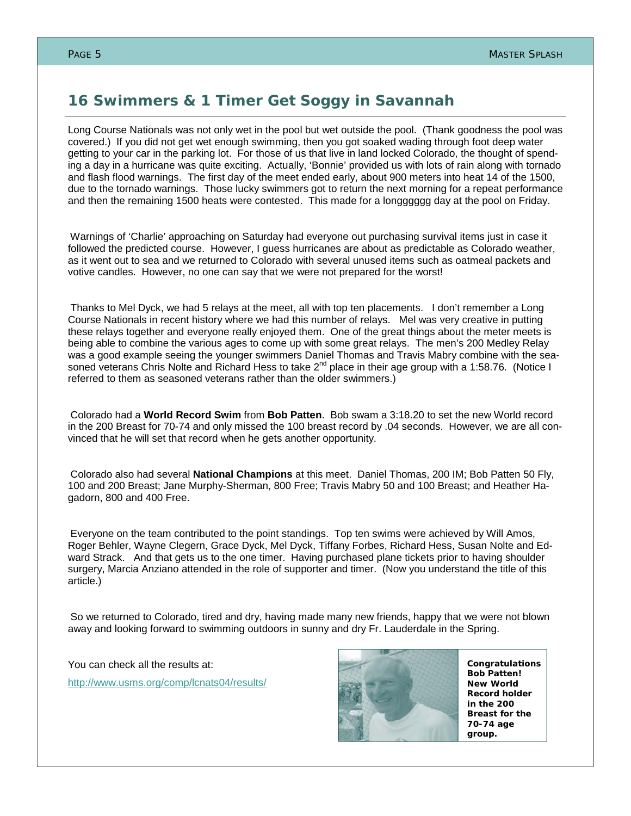# **16 Swimmers & 1 Timer Get Soggy in Savannah**

Long Course Nationals was not only wet in the pool but wet outside the pool. (Thank goodness the pool was covered.) If you did not get wet enough swimming, then you got soaked wading through foot deep water getting to your car in the parking lot. For those of us that live in land locked Colorado, the thought of spending a day in a hurricane was quite exciting. Actually, 'Bonnie' provided us with lots of rain along with tornado and flash flood warnings. The first day of the meet ended early, about 900 meters into heat 14 of the 1500, due to the tornado warnings. Those lucky swimmers got to return the next morning for a repeat performance and then the remaining 1500 heats were contested. This made for a longggggg day at the pool on Friday.

Warnings of 'Charlie' approaching on Saturday had everyone out purchasing survival items just in case it followed the predicted course. However, I guess hurricanes are about as predictable as Colorado weather, as it went out to sea and we returned to Colorado with several unused items such as oatmeal packets and votive candles. However, no one can say that we were not prepared for the worst!

Thanks to Mel Dyck, we had 5 relays at the meet, all with top ten placements. I don't remember a Long Course Nationals in recent history where we had this number of relays. Mel was very creative in putting these relays together and everyone really enjoyed them. One of the great things about the meter meets is being able to combine the various ages to come up with some great relays. The men's 200 Medley Relay was a good example seeing the younger swimmers Daniel Thomas and Travis Mabry combine with the seasoned veterans Chris Nolte and Richard Hess to take 2<sup>nd</sup> place in their age group with a 1:58.76. (Notice I referred to them as seasoned veterans rather than the older swimmers.)

Colorado had a **World Record Swim** from **Bob Patten**. Bob swam a 3:18.20 to set the new World record in the 200 Breast for 70-74 and only missed the 100 breast record by .04 seconds. However, we are all convinced that he will set that record when he gets another opportunity.

Colorado also had several **National Champions** at this meet. Daniel Thomas, 200 IM; Bob Patten 50 Fly, 100 and 200 Breast; Jane Murphy-Sherman, 800 Free; Travis Mabry 50 and 100 Breast; and Heather Hagadorn, 800 and 400 Free.

Everyone on the team contributed to the point standings. Top ten swims were achieved by Will Amos, Roger Behler, Wayne Clegern, Grace Dyck, Mel Dyck, Tiffany Forbes, Richard Hess, Susan Nolte and Edward Strack. And that gets us to the one timer. Having purchased plane tickets prior to having shoulder surgery, Marcia Anziano attended in the role of supporter and timer. (Now you understand the title of this article.)

So we returned to Colorado, tired and dry, having made many new friends, happy that we were not blown away and looking forward to swimming outdoors in sunny and dry Fr. Lauderdale in the Spring.

You can check all the results at: http://www.usms.org/comp/lcnats04/results/



*Congratulations Bob Patten! New World Record holder in the 200 Breast for the 70-74 age group.*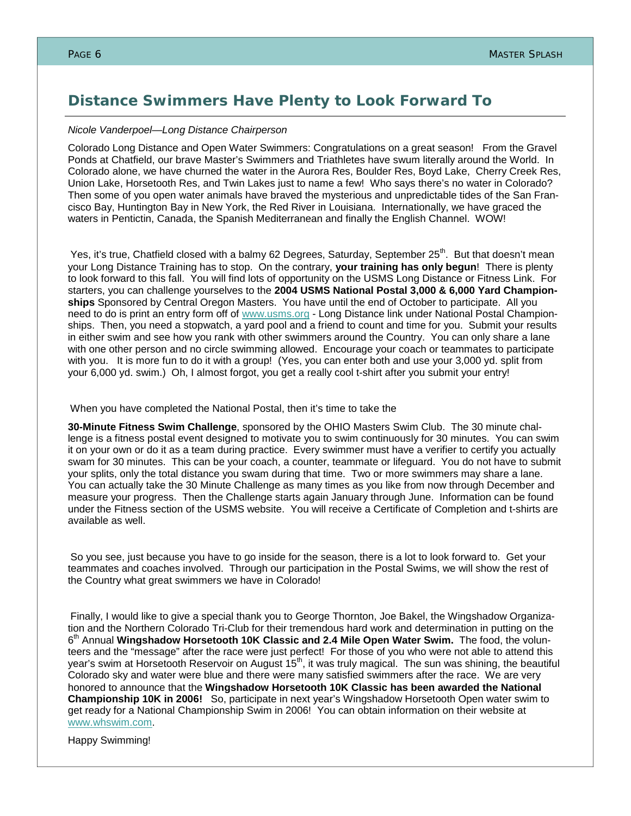#### **Distance Swimmers Have Plenty to Look Forward To**

#### *Nicole Vanderpoel—Long Distance Chairperson*

Colorado Long Distance and Open Water Swimmers: Congratulations on a great season! From the Gravel Ponds at Chatfield, our brave Master's Swimmers and Triathletes have swum literally around the World. In Colorado alone, we have churned the water in the Aurora Res, Boulder Res, Boyd Lake, Cherry Creek Res, Union Lake, Horsetooth Res, and Twin Lakes just to name a few! Who says there's no water in Colorado? Then some of you open water animals have braved the mysterious and unpredictable tides of the San Francisco Bay, Huntington Bay in New York, the Red River in Louisiana. Internationally, we have graced the waters in Pentictin, Canada, the Spanish Mediterranean and finally the English Channel. WOW!

Yes, it's true, Chatfield closed with a balmy 62 Degrees, Saturday, September 25<sup>th</sup>. But that doesn't mean your Long Distance Training has to stop. On the contrary, **your training has only begun**! There is plenty to look forward to this fall. You will find lots of opportunity on the USMS Long Distance or Fitness Link. For starters, you can challenge yourselves to the **2004 USMS National Postal 3,000 & 6,000 Yard Championships** Sponsored by Central Oregon Masters. You have until the end of October to participate. All you need to do is print an entry form off of www.usms.org - Long Distance link under National Postal Championships. Then, you need a stopwatch, a yard pool and a friend to count and time for you. Submit your results in either swim and see how you rank with other swimmers around the Country. You can only share a lane with one other person and no circle swimming allowed. Encourage your coach or teammates to participate with you. It is more fun to do it with a group! (Yes, you can enter both and use your 3,000 yd. split from your 6,000 yd. swim.) Oh, I almost forgot, you get a really cool t-shirt after you submit your entry!

When you have completed the National Postal, then it's time to take the

**30-Minute Fitness Swim Challenge**, sponsored by the OHIO Masters Swim Club. The 30 minute challenge is a fitness postal event designed to motivate you to swim continuously for 30 minutes. You can swim it on your own or do it as a team during practice. Every swimmer must have a verifier to certify you actually swam for 30 minutes. This can be your coach, a counter, teammate or lifeguard. You do not have to submit your splits, only the total distance you swam during that time. Two or more swimmers may share a lane. You can actually take the 30 Minute Challenge as many times as you like from now through December and measure your progress. Then the Challenge starts again January through June. Information can be found under the Fitness section of the USMS website. You will receive a Certificate of Completion and t-shirts are available as well.

So you see, just because you have to go inside for the season, there is a lot to look forward to. Get your teammates and coaches involved. Through our participation in the Postal Swims, we will show the rest of the Country what great swimmers we have in Colorado!

Finally, I would like to give a special thank you to George Thornton, Joe Bakel, the Wingshadow Organization and the Northern Colorado Tri-Club for their tremendous hard work and determination in putting on the 6th Annual **Wingshadow Horsetooth 10K Classic and 2.4 Mile Open Water Swim.** The food, the volunteers and the "message" after the race were just perfect! For those of you who were not able to attend this year's swim at Horsetooth Reservoir on August 15<sup>th</sup>, it was truly magical. The sun was shining, the beautiful Colorado sky and water were blue and there were many satisfied swimmers after the race. We are very honored to announce that the **Wingshadow Horsetooth 10K Classic has been awarded the National Championship 10K in 2006!** So, participate in next year's Wingshadow Horsetooth Open water swim to get ready for a National Championship Swim in 2006! You can obtain information on their website at www.whswim.com.

Happy Swimming!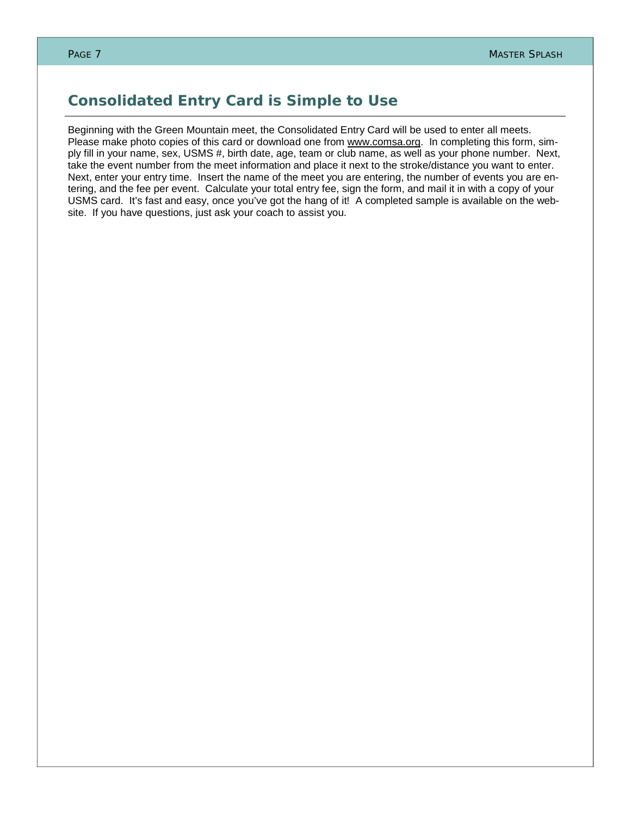# **Consolidated Entry Card is Simple to Use**

Beginning with the Green Mountain meet, the Consolidated Entry Card will be used to enter all meets. Please make photo copies of this card or download one from www.comsa.org. In completing this form, simply fill in your name, sex, USMS #, birth date, age, team or club name, as well as your phone number. Next, take the event number from the meet information and place it next to the stroke/distance you want to enter. Next, enter your entry time. Insert the name of the meet you are entering, the number of events you are entering, and the fee per event. Calculate your total entry fee, sign the form, and mail it in with a copy of your USMS card. It's fast and easy, once you've got the hang of it! A completed sample is available on the website. If you have questions, just ask your coach to assist you.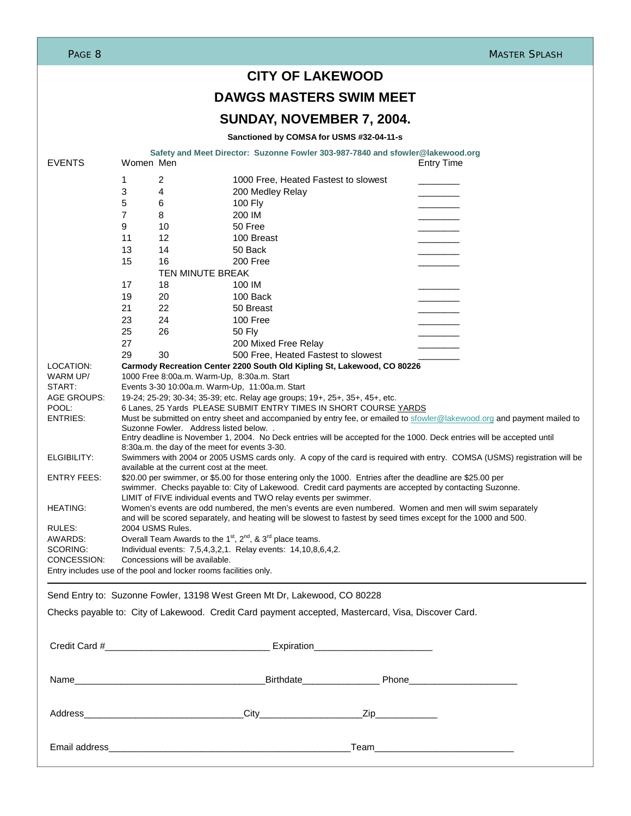| PAGE 8                                                           |                                                                                                                                                                |                                               |                                                                                                                |  | <b>MASTER SPLASH</b>                                                                                                                                                                                                        |  |
|------------------------------------------------------------------|----------------------------------------------------------------------------------------------------------------------------------------------------------------|-----------------------------------------------|----------------------------------------------------------------------------------------------------------------|--|-----------------------------------------------------------------------------------------------------------------------------------------------------------------------------------------------------------------------------|--|
|                                                                  |                                                                                                                                                                |                                               | <b>CITY OF LAKEWOOD</b>                                                                                        |  |                                                                                                                                                                                                                             |  |
|                                                                  | <b>DAWGS MASTERS SWIM MEET</b>                                                                                                                                 |                                               |                                                                                                                |  |                                                                                                                                                                                                                             |  |
|                                                                  |                                                                                                                                                                |                                               | SUNDAY, NOVEMBER 7, 2004.                                                                                      |  |                                                                                                                                                                                                                             |  |
|                                                                  |                                                                                                                                                                |                                               | Sanctioned by COMSA for USMS #32-04-11-s                                                                       |  |                                                                                                                                                                                                                             |  |
|                                                                  |                                                                                                                                                                |                                               | Safety and Meet Director: Suzonne Fowler 303-987-7840 and sfowler@lakewood.org                                 |  |                                                                                                                                                                                                                             |  |
| <b>EVENTS</b>                                                    | Women Men                                                                                                                                                      |                                               |                                                                                                                |  | <b>Entry Time</b>                                                                                                                                                                                                           |  |
|                                                                  | 2<br>1                                                                                                                                                         |                                               | 1000 Free, Heated Fastest to slowest                                                                           |  |                                                                                                                                                                                                                             |  |
|                                                                  | 3<br>4                                                                                                                                                         |                                               | 200 Medley Relay                                                                                               |  |                                                                                                                                                                                                                             |  |
|                                                                  | 5<br>6<br>$\overline{7}$                                                                                                                                       |                                               | 100 Fly<br>200 IM                                                                                              |  |                                                                                                                                                                                                                             |  |
|                                                                  | 8<br>9<br>10                                                                                                                                                   |                                               | 50 Free                                                                                                        |  |                                                                                                                                                                                                                             |  |
|                                                                  | 11                                                                                                                                                             | 12                                            | 100 Breast                                                                                                     |  |                                                                                                                                                                                                                             |  |
|                                                                  | 13                                                                                                                                                             | 14                                            | 50 Back                                                                                                        |  |                                                                                                                                                                                                                             |  |
|                                                                  | 15                                                                                                                                                             | 16                                            | 200 Free                                                                                                       |  |                                                                                                                                                                                                                             |  |
|                                                                  |                                                                                                                                                                | TEN MINUTE BREAK                              |                                                                                                                |  |                                                                                                                                                                                                                             |  |
|                                                                  | 17                                                                                                                                                             | 18                                            | 100 IM                                                                                                         |  |                                                                                                                                                                                                                             |  |
|                                                                  | 19                                                                                                                                                             | 20                                            | 100 Back                                                                                                       |  |                                                                                                                                                                                                                             |  |
|                                                                  | 21                                                                                                                                                             | 22                                            | 50 Breast                                                                                                      |  |                                                                                                                                                                                                                             |  |
|                                                                  | 23                                                                                                                                                             | 24                                            | 100 Free                                                                                                       |  |                                                                                                                                                                                                                             |  |
|                                                                  | 25<br>26                                                                                                                                                       |                                               | 50 Fly                                                                                                         |  |                                                                                                                                                                                                                             |  |
|                                                                  | 27                                                                                                                                                             |                                               | 200 Mixed Free Relay                                                                                           |  |                                                                                                                                                                                                                             |  |
| LOCATION:                                                        | 29<br>30                                                                                                                                                       |                                               | 500 Free, Heated Fastest to slowest<br>Carmody Recreation Center 2200 South Old Kipling St, Lakewood, CO 80226 |  |                                                                                                                                                                                                                             |  |
| WARM UP/                                                         |                                                                                                                                                                | 1000 Free 8:00a.m. Warm-Up, 8:30a.m. Start    |                                                                                                                |  |                                                                                                                                                                                                                             |  |
| START:                                                           |                                                                                                                                                                |                                               | Events 3-30 10:00a.m. Warm-Up, 11:00a.m. Start                                                                 |  |                                                                                                                                                                                                                             |  |
| AGE GROUPS:                                                      |                                                                                                                                                                |                                               | 19-24; 25-29; 30-34; 35-39; etc. Relay age groups; 19+, 25+, 35+, 45+, etc.                                    |  |                                                                                                                                                                                                                             |  |
| POOL:                                                            |                                                                                                                                                                |                                               | 6 Lanes, 25 Yards PLEASE SUBMIT ENTRY TIMES IN SHORT COURSE YARDS                                              |  |                                                                                                                                                                                                                             |  |
| ENTRIES:                                                         |                                                                                                                                                                |                                               |                                                                                                                |  | Must be submitted on entry sheet and accompanied by entry fee, or emailed to sfowler@lakewood.org and payment mailed to                                                                                                     |  |
|                                                                  | Suzonne Fowler. Address listed below<br>Entry deadline is November 1, 2004. No Deck entries will be accepted for the 1000. Deck entries will be accepted until |                                               |                                                                                                                |  |                                                                                                                                                                                                                             |  |
|                                                                  |                                                                                                                                                                | 8:30a.m. the day of the meet for events 3-30. |                                                                                                                |  |                                                                                                                                                                                                                             |  |
| ELGIBILITY:                                                      | Swimmers with 2004 or 2005 USMS cards only. A copy of the card is required with entry. COMSA (USMS) registration will be                                       |                                               |                                                                                                                |  |                                                                                                                                                                                                                             |  |
| ENTRY FEES:                                                      | available at the current cost at the meet.<br>\$20.00 per swimmer, or \$5.00 for those entering only the 1000. Entries after the deadline are \$25.00 per      |                                               |                                                                                                                |  |                                                                                                                                                                                                                             |  |
|                                                                  |                                                                                                                                                                |                                               |                                                                                                                |  | swimmer. Checks payable to: City of Lakewood. Credit card payments are accepted by contacting Suzonne.                                                                                                                      |  |
|                                                                  |                                                                                                                                                                |                                               | LIMIT of FIVE individual events and TWO relay events per swimmer.                                              |  |                                                                                                                                                                                                                             |  |
| <b>HEATING:</b>                                                  |                                                                                                                                                                |                                               |                                                                                                                |  | Women's events are odd numbered, the men's events are even numbered. Women and men will swim separately<br>and will be scored separately, and heating will be slowest to fastest by seed times except for the 1000 and 500. |  |
| RULES:                                                           | 2004 USMS Rules.                                                                                                                                               |                                               |                                                                                                                |  |                                                                                                                                                                                                                             |  |
| AWARDS:                                                          | Overall Team Awards to the 1 <sup>st</sup> , 2 <sup>nd</sup> , & 3 <sup>rd</sup> place teams.                                                                  |                                               |                                                                                                                |  |                                                                                                                                                                                                                             |  |
| SCORING:                                                         |                                                                                                                                                                |                                               | Individual events: 7,5,4,3,2,1. Relay events: 14,10,8,6,4,2.                                                   |  |                                                                                                                                                                                                                             |  |
| CONCESSION:                                                      |                                                                                                                                                                | Concessions will be available.                |                                                                                                                |  |                                                                                                                                                                                                                             |  |
| Entry includes use of the pool and locker rooms facilities only. |                                                                                                                                                                |                                               |                                                                                                                |  |                                                                                                                                                                                                                             |  |
|                                                                  |                                                                                                                                                                |                                               | Send Entry to: Suzonne Fowler, 13198 West Green Mt Dr, Lakewood, CO 80228                                      |  |                                                                                                                                                                                                                             |  |
|                                                                  |                                                                                                                                                                |                                               | Checks payable to: City of Lakewood. Credit Card payment accepted, Mastercard, Visa, Discover Card.            |  |                                                                                                                                                                                                                             |  |
|                                                                  |                                                                                                                                                                |                                               |                                                                                                                |  |                                                                                                                                                                                                                             |  |
|                                                                  |                                                                                                                                                                |                                               |                                                                                                                |  |                                                                                                                                                                                                                             |  |
|                                                                  |                                                                                                                                                                |                                               |                                                                                                                |  |                                                                                                                                                                                                                             |  |
|                                                                  |                                                                                                                                                                |                                               |                                                                                                                |  |                                                                                                                                                                                                                             |  |

Address\_\_\_\_\_\_\_\_\_\_\_\_\_\_\_\_\_\_\_\_\_\_\_\_\_\_\_\_\_\_\_City\_\_\_\_\_\_\_\_\_\_\_\_\_\_\_\_\_\_\_\_Zip\_\_\_\_\_\_\_\_\_\_\_\_

Email address\_\_\_\_\_\_\_\_\_\_\_\_\_\_\_\_\_\_\_\_\_\_\_\_\_\_\_\_\_\_\_\_\_\_\_\_\_\_\_\_\_\_\_\_\_\_\_Team\_\_\_\_\_\_\_\_\_\_\_\_\_\_\_\_\_\_\_\_\_\_\_\_\_\_\_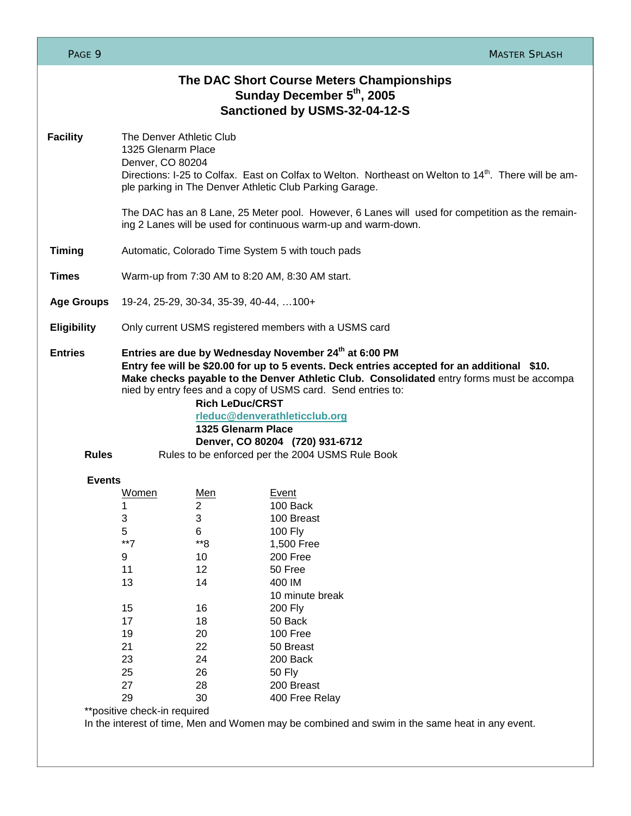| PAGE 9                         |                                                                                                                                                                                                                                                                                                                                                                                                                                                                                           |                                                                                             | <b>MASTER SPLASH</b>                                                                                                                                                                                                     |
|--------------------------------|-------------------------------------------------------------------------------------------------------------------------------------------------------------------------------------------------------------------------------------------------------------------------------------------------------------------------------------------------------------------------------------------------------------------------------------------------------------------------------------------|---------------------------------------------------------------------------------------------|--------------------------------------------------------------------------------------------------------------------------------------------------------------------------------------------------------------------------|
|                                |                                                                                                                                                                                                                                                                                                                                                                                                                                                                                           |                                                                                             | The DAC Short Course Meters Championships<br>Sunday December 5 <sup>th</sup> , 2005<br>Sanctioned by USMS-32-04-12-S                                                                                                     |
| <b>Facility</b>                | The Denver Athletic Club<br>1325 Glenarm Place<br>Denver, CO 80204                                                                                                                                                                                                                                                                                                                                                                                                                        |                                                                                             | Directions: I-25 to Colfax. East on Colfax to Welton. Northeast on Welton to 14 <sup>th</sup> . There will be am-<br>ple parking in The Denver Athletic Club Parking Garage.                                             |
|                                |                                                                                                                                                                                                                                                                                                                                                                                                                                                                                           |                                                                                             | The DAC has an 8 Lane, 25 Meter pool. However, 6 Lanes will used for competition as the remain-<br>ing 2 Lanes will be used for continuous warm-up and warm-down.                                                        |
| <b>Timing</b>                  | Automatic, Colorado Time System 5 with touch pads                                                                                                                                                                                                                                                                                                                                                                                                                                         |                                                                                             |                                                                                                                                                                                                                          |
| <b>Times</b>                   | Warm-up from 7:30 AM to 8:20 AM, 8:30 AM start.                                                                                                                                                                                                                                                                                                                                                                                                                                           |                                                                                             |                                                                                                                                                                                                                          |
| <b>Age Groups</b>              | 19-24, 25-29, 30-34, 35-39, 40-44, 100+                                                                                                                                                                                                                                                                                                                                                                                                                                                   |                                                                                             |                                                                                                                                                                                                                          |
| <b>Eligibility</b>             | Only current USMS registered members with a USMS card                                                                                                                                                                                                                                                                                                                                                                                                                                     |                                                                                             |                                                                                                                                                                                                                          |
| <b>Entries</b><br><b>Rules</b> | Entries are due by Wednesday November 24th at 6:00 PM<br>Entry fee will be \$20.00 for up to 5 events. Deck entries accepted for an additional \$10.<br>Make checks payable to the Denver Athletic Club. Consolidated entry forms must be accompa<br>nied by entry fees and a copy of USMS card. Send entries to:<br><b>Rich LeDuc/CRST</b><br>rleduc@denverathleticclub.org<br>1325 Glenarm Place<br>Denver, CO 80204 (720) 931-6712<br>Rules to be enforced per the 2004 USMS Rule Book |                                                                                             |                                                                                                                                                                                                                          |
| <b>Events</b>                  |                                                                                                                                                                                                                                                                                                                                                                                                                                                                                           |                                                                                             |                                                                                                                                                                                                                          |
|                                | Women<br>1<br>3<br>5<br>$**7$<br>9<br>11<br>13<br>15<br>17<br>19<br>21<br>23<br>25<br>27<br>29<br>**positive check-in required                                                                                                                                                                                                                                                                                                                                                            | Men<br>2<br>3<br>6<br>**8<br>10<br>12<br>14<br>16<br>18<br>20<br>22<br>24<br>26<br>28<br>30 | <b>Event</b><br>100 Back<br>100 Breast<br>100 Fly<br>1,500 Free<br>200 Free<br>50 Free<br>400 IM<br>10 minute break<br>200 Fly<br>50 Back<br>100 Free<br>50 Breast<br>200 Back<br>50 Fly<br>200 Breast<br>400 Free Relay |
|                                |                                                                                                                                                                                                                                                                                                                                                                                                                                                                                           |                                                                                             | In the interest of time, Men and Women may be combined and swim in the same heat in any event.                                                                                                                           |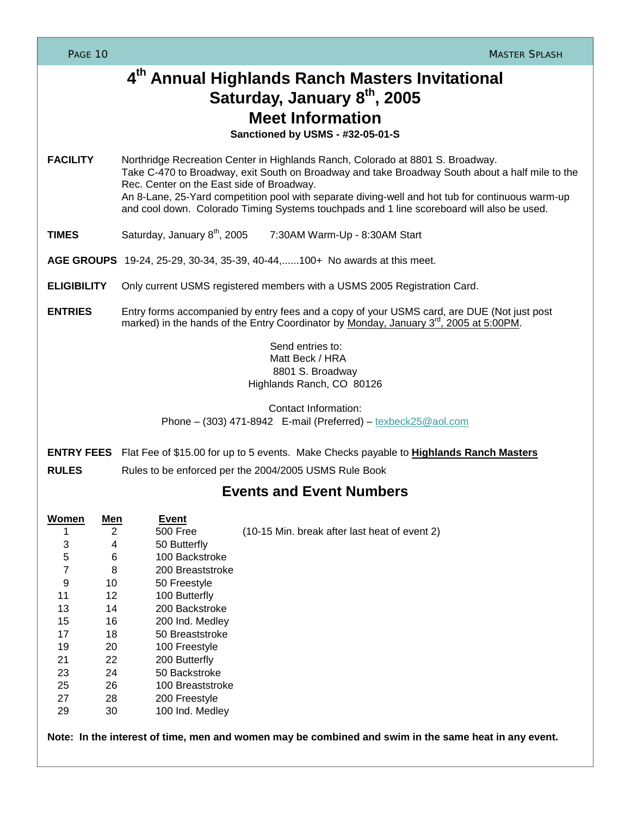| PAGE 10                                                                                     |                                                                                                                                                                                                  |                                                                                                                                                                                                                                                                                                                                                                                                                                 | <b>MASTER SPLASH</b>                                                                                                                          |  |  |  |  |
|---------------------------------------------------------------------------------------------|--------------------------------------------------------------------------------------------------------------------------------------------------------------------------------------------------|---------------------------------------------------------------------------------------------------------------------------------------------------------------------------------------------------------------------------------------------------------------------------------------------------------------------------------------------------------------------------------------------------------------------------------|-----------------------------------------------------------------------------------------------------------------------------------------------|--|--|--|--|
|                                                                                             |                                                                                                                                                                                                  |                                                                                                                                                                                                                                                                                                                                                                                                                                 | 4th Annual Highlands Ranch Masters Invitational<br>Saturday, January 8th, 2005<br><b>Meet Information</b><br>Sanctioned by USMS - #32-05-01-S |  |  |  |  |
| <b>FACILITY</b>                                                                             |                                                                                                                                                                                                  | Northridge Recreation Center in Highlands Ranch, Colorado at 8801 S. Broadway.<br>Take C-470 to Broadway, exit South on Broadway and take Broadway South about a half mile to the<br>Rec. Center on the East side of Broadway.<br>An 8-Lane, 25-Yard competition pool with separate diving-well and hot tub for continuous warm-up<br>and cool down. Colorado Timing Systems touchpads and 1 line scoreboard will also be used. |                                                                                                                                               |  |  |  |  |
| <b>TIMES</b>                                                                                |                                                                                                                                                                                                  | Saturday, January 8 <sup>th</sup> , 2005                                                                                                                                                                                                                                                                                                                                                                                        | 7:30AM Warm-Up - 8:30AM Start                                                                                                                 |  |  |  |  |
|                                                                                             |                                                                                                                                                                                                  | AGE GROUPS 19-24, 25-29, 30-34, 35-39, 40-44,100+ No awards at this meet.                                                                                                                                                                                                                                                                                                                                                       |                                                                                                                                               |  |  |  |  |
| <b>ELIGIBILITY</b>                                                                          |                                                                                                                                                                                                  | Only current USMS registered members with a USMS 2005 Registration Card.                                                                                                                                                                                                                                                                                                                                                        |                                                                                                                                               |  |  |  |  |
| <b>ENTRIES</b>                                                                              | Entry forms accompanied by entry fees and a copy of your USMS card, are DUE (Not just post<br>marked) in the hands of the Entry Coordinator by Monday, January 3 <sup>rd</sup> , 2005 at 5:00PM. |                                                                                                                                                                                                                                                                                                                                                                                                                                 |                                                                                                                                               |  |  |  |  |
|                                                                                             |                                                                                                                                                                                                  |                                                                                                                                                                                                                                                                                                                                                                                                                                 | Send entries to:<br>Matt Beck / HRA<br>8801 S. Broadway<br>Highlands Ranch, CO 80126                                                          |  |  |  |  |
|                                                                                             |                                                                                                                                                                                                  |                                                                                                                                                                                                                                                                                                                                                                                                                                 | Contact Information:<br>Phone $-$ (303) 471-8942 E-mail (Preferred) $-$ texbeck $25@$ aol.com                                                 |  |  |  |  |
|                                                                                             |                                                                                                                                                                                                  |                                                                                                                                                                                                                                                                                                                                                                                                                                 | <b>ENTRY FEES</b> Flat Fee of \$15.00 for up to 5 events. Make Checks payable to <b>Highlands Ranch Masters</b>                               |  |  |  |  |
| <b>RULES</b><br>Rules to be enforced per the 2004/2005 USMS Rule Book                       |                                                                                                                                                                                                  |                                                                                                                                                                                                                                                                                                                                                                                                                                 |                                                                                                                                               |  |  |  |  |
| <b>Events and Event Numbers</b>                                                             |                                                                                                                                                                                                  |                                                                                                                                                                                                                                                                                                                                                                                                                                 |                                                                                                                                               |  |  |  |  |
| <b>Women</b><br>1<br>3<br>5<br>7<br>9<br>11<br>13<br>15<br>17<br>19<br>21<br>23<br>25<br>27 | <u>Men</u><br>$\overline{2}$<br>4<br>6<br>8<br>10<br>12<br>14<br>16<br>18<br>20<br>22<br>24<br>26<br>28                                                                                          | <b>Event</b><br>500 Free<br>50 Butterfly<br>100 Backstroke<br>200 Breaststroke<br>50 Freestyle<br>100 Butterfly<br>200 Backstroke<br>200 Ind. Medley<br>50 Breaststroke<br>100 Freestyle<br>200 Butterfly<br>50 Backstroke<br>100 Breaststroke<br>200 Freestyle                                                                                                                                                                 | (10-15 Min. break after last heat of event 2)                                                                                                 |  |  |  |  |
| 29                                                                                          | 30                                                                                                                                                                                               | 100 Ind. Medley                                                                                                                                                                                                                                                                                                                                                                                                                 |                                                                                                                                               |  |  |  |  |

**Note: In the interest of time, men and women may be combined and swim in the same heat in any event.**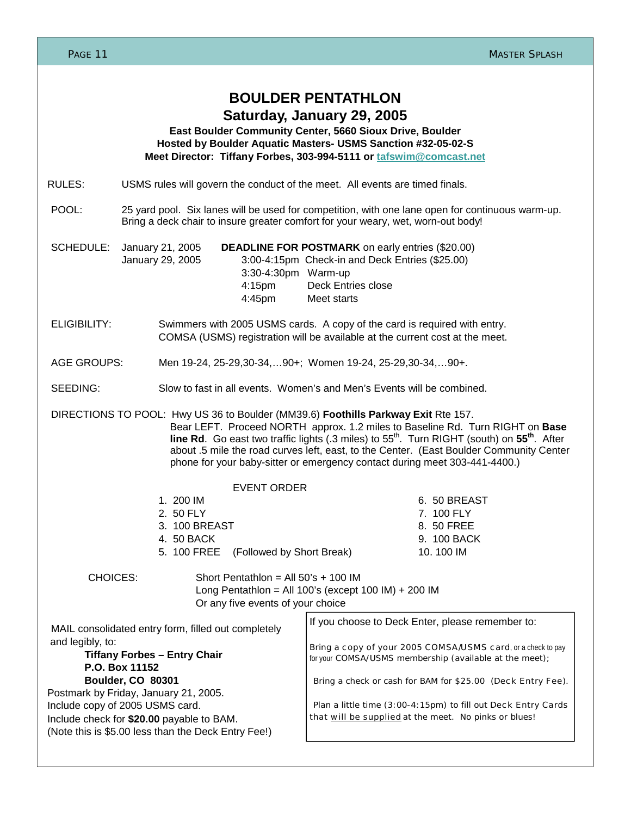| PAGE 11                                                                                                                                                                                                                                                                                                                                                                                                                                                            |                                                                                                                                                                                      | <b>MASTER SPLASH</b>                                                                                                                                                                                                                                      |  |  |  |
|--------------------------------------------------------------------------------------------------------------------------------------------------------------------------------------------------------------------------------------------------------------------------------------------------------------------------------------------------------------------------------------------------------------------------------------------------------------------|--------------------------------------------------------------------------------------------------------------------------------------------------------------------------------------|-----------------------------------------------------------------------------------------------------------------------------------------------------------------------------------------------------------------------------------------------------------|--|--|--|
|                                                                                                                                                                                                                                                                                                                                                                                                                                                                    |                                                                                                                                                                                      | <b>BOULDER PENTATHLON</b><br>Saturday, January 29, 2005<br>East Boulder Community Center, 5660 Sioux Drive, Boulder<br>Hosted by Boulder Aquatic Masters- USMS Sanction #32-05-02-S<br>Meet Director: Tiffany Forbes, 303-994-5111 or tafswim@comcast.net |  |  |  |
| RULES:                                                                                                                                                                                                                                                                                                                                                                                                                                                             | USMS rules will govern the conduct of the meet. All events are timed finals.                                                                                                         |                                                                                                                                                                                                                                                           |  |  |  |
| POOL:                                                                                                                                                                                                                                                                                                                                                                                                                                                              | 25 yard pool. Six lanes will be used for competition, with one lane open for continuous warm-up.<br>Bring a deck chair to insure greater comfort for your weary, wet, worn-out body! |                                                                                                                                                                                                                                                           |  |  |  |
| SCHEDULE:                                                                                                                                                                                                                                                                                                                                                                                                                                                          | January 21, 2005<br>January 29, 2005<br>3:30-4:30pm Warm-up<br>4:15 <sub>pm</sub><br>4:45pm                                                                                          | <b>DEADLINE FOR POSTMARK</b> on early entries (\$20.00)<br>3:00-4:15pm Check-in and Deck Entries (\$25.00)<br><b>Deck Entries close</b><br>Meet starts                                                                                                    |  |  |  |
| <b>ELIGIBILITY:</b>                                                                                                                                                                                                                                                                                                                                                                                                                                                |                                                                                                                                                                                      | Swimmers with 2005 USMS cards. A copy of the card is required with entry.<br>COMSA (USMS) registration will be available at the current cost at the meet.                                                                                                 |  |  |  |
| <b>AGE GROUPS:</b>                                                                                                                                                                                                                                                                                                                                                                                                                                                 |                                                                                                                                                                                      | Men 19-24, 25-29, 30-34,  90+; Women 19-24, 25-29, 30-34,  90+.                                                                                                                                                                                           |  |  |  |
| SEEDING:                                                                                                                                                                                                                                                                                                                                                                                                                                                           |                                                                                                                                                                                      | Slow to fast in all events. Women's and Men's Events will be combined.                                                                                                                                                                                    |  |  |  |
| DIRECTIONS TO POOL: Hwy US 36 to Boulder (MM39.6) Foothills Parkway Exit Rte 157.<br>Bear LEFT. Proceed NORTH approx. 1.2 miles to Baseline Rd. Turn RIGHT on Base<br>line Rd. Go east two traffic lights (.3 miles) to 55 <sup>th</sup> . Turn RIGHT (south) on 55 <sup>th</sup> . After<br>about .5 mile the road curves left, east, to the Center. (East Boulder Community Center<br>phone for your baby-sitter or emergency contact during meet 303-441-4400.) |                                                                                                                                                                                      |                                                                                                                                                                                                                                                           |  |  |  |
|                                                                                                                                                                                                                                                                                                                                                                                                                                                                    | <b>EVENT ORDER</b>                                                                                                                                                                   |                                                                                                                                                                                                                                                           |  |  |  |
|                                                                                                                                                                                                                                                                                                                                                                                                                                                                    | 1. 200 IM<br>2. 50 FLY<br>3. 100 BREAST<br>4. 50 BACK<br>(Followed by Short Break)<br>5. 100 FREE                                                                                    | 6. 50 BREAST<br>7. 100 FLY<br>8. 50 FREE<br>9. 100 BACK<br>10.100 IM                                                                                                                                                                                      |  |  |  |
| <b>CHOICES:</b>                                                                                                                                                                                                                                                                                                                                                                                                                                                    | Short Pentathlon = All $50's + 100$ IM<br>Or any five events of your choice                                                                                                          | Long Pentathlon = All 100's (except 100 IM) + 200 IM                                                                                                                                                                                                      |  |  |  |
| MAIL consolidated entry form, filled out completely<br>and legibly, to:<br><b>Tiffany Forbes - Entry Chair</b><br>P.O. Box 11152<br>Boulder, CO 80301                                                                                                                                                                                                                                                                                                              |                                                                                                                                                                                      | If you choose to Deck Enter, please remember to:<br>Bring a copy of your 2005 COMSA/USMS card, or a check to pay<br>for your COMSA/USMS membership (available at the meet);<br>Bring a check or cash for BAM for \$25.00 (Deck Entry Fee).                |  |  |  |
| Postmark by Friday, January 21, 2005.<br>Include copy of 2005 USMS card.<br>Include check for \$20.00 payable to BAM.<br>(Note this is \$5.00 less than the Deck Entry Fee!)                                                                                                                                                                                                                                                                                       |                                                                                                                                                                                      | Plan a little time (3:00-4:15pm) to fill out Deck Entry Cards<br>that will be supplied at the meet. No pinks or blues!                                                                                                                                    |  |  |  |